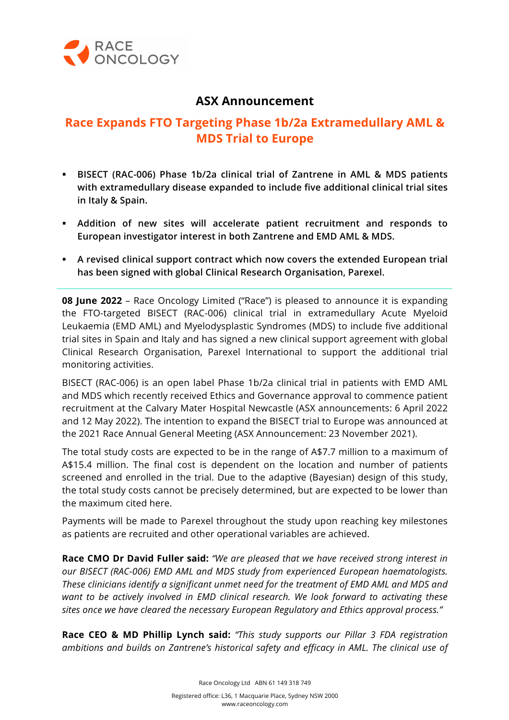

# **ASX Announcement**

# **Race Expands FTO Targeting Phase 1b/2a Extramedullary AML & MDS Trial to Europe**

- § **BISECT (RAC-006) Phase 1b/2a clinical trial of Zantrene in AML & MDS patients with extramedullary disease expanded to include five additional clinical trial sites in Italy & Spain.**
- § **Addition of new sites will accelerate patient recruitment and responds to European investigator interest in both Zantrene and EMD AML & MDS.**
- § **A revised clinical support contract which now covers the extended European trial has been signed with global Clinical Research Organisation, Parexel.**

**08 June 2022** – Race Oncology Limited ("Race") is pleased to announce it is expanding the FTO-targeted BISECT (RAC-006) clinical trial in extramedullary Acute Myeloid Leukaemia (EMD AML) and Myelodysplastic Syndromes (MDS) to include five additional trial sites in Spain and Italy and has signed a new clinical support agreement with global Clinical Research Organisation, Parexel International to support the additional trial monitoring activities.

BISECT (RAC-006) is an open label Phase 1b/2a clinical trial in patients with EMD AML and MDS which recently received Ethics and Governance approval to commence patient recruitment at the Calvary Mater Hospital Newcastle (ASX announcements: 6 April 2022 and 12 May 2022). The intention to expand the BISECT trial to Europe was announced at the 2021 Race Annual General Meeting (ASX Announcement: 23 November 2021).

The total study costs are expected to be in the range of A\$7.7 million to a maximum of A\$15.4 million. The final cost is dependent on the location and number of patients screened and enrolled in the trial. Due to the adaptive (Bayesian) design of this study, the total study costs cannot be precisely determined, but are expected to be lower than the maximum cited here.

Payments will be made to Parexel throughout the study upon reaching key milestones as patients are recruited and other operational variables are achieved.

**Race CMO Dr David Fuller said:** *"We are pleased that we have received strong interest in our BISECT (RAC-006) EMD AML and MDS study from experienced European haematologists. These clinicians identify a significant unmet need for the treatment of EMD AML and MDS and want to be actively involved in EMD clinical research. We look forward to activating these sites once we have cleared the necessary European Regulatory and Ethics approval process."*

**Race CEO & MD Phillip Lynch said:** *"This study supports our Pillar 3 FDA registration ambitions and builds on Zantrene's historical safety and efficacy in AML. The clinical use of* 

Race Oncology Ltd ABN 61 149 318 749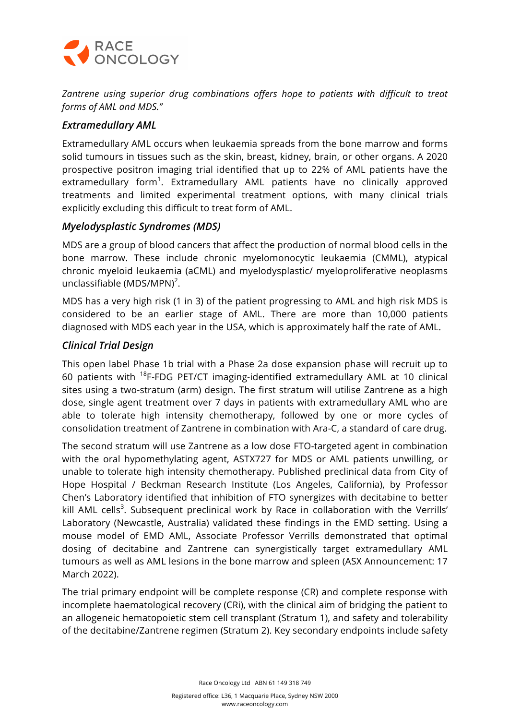

*Zantrene using superior drug combinations offers hope to patients with difficult to treat forms of AML and MDS."*

## *Extramedullary AML*

Extramedullary AML occurs when leukaemia spreads from the bone marrow and forms solid tumours in tissues such as the skin, breast, kidney, brain, or other organs. A 2020 prospective positron imaging trial identified that up to 22% of AML patients have the extramedullary form<sup>1</sup>. Extramedullary AML patients have no clinically approved treatments and limited experimental treatment options, with many clinical trials explicitly excluding this difficult to treat form of AML.

## *Myelodysplastic Syndromes (MDS)*

MDS are a group of blood cancers that affect the production of normal blood cells in the bone marrow. These include chronic myelomonocytic leukaemia (CMML), atypical chronic myeloid leukaemia (aCML) and myelodysplastic/ myeloproliferative neoplasms unclassifiable (MDS/MPN)<sup>2</sup>.

MDS has a very high risk (1 in 3) of the patient progressing to AML and high risk MDS is considered to be an earlier stage of AML. There are more than 10,000 patients diagnosed with MDS each year in the USA, which is approximately half the rate of AML.

## *Clinical Trial Design*

This open label Phase 1b trial with a Phase 2a dose expansion phase will recruit up to 60 patients with 18F-FDG PET/CT imaging-identified extramedullary AML at 10 clinical sites using a two-stratum (arm) design. The first stratum will utilise Zantrene as a high dose, single agent treatment over 7 days in patients with extramedullary AML who are able to tolerate high intensity chemotherapy, followed by one or more cycles of consolidation treatment of Zantrene in combination with Ara-C, a standard of care drug.

The second stratum will use Zantrene as a low dose FTO-targeted agent in combination with the oral hypomethylating agent, ASTX727 for MDS or AML patients unwilling, or unable to tolerate high intensity chemotherapy. Published preclinical data from City of Hope Hospital / Beckman Research Institute (Los Angeles, California), by Professor Chen's Laboratory identified that inhibition of FTO synergizes with decitabine to better kill AML cells<sup>3</sup>. Subsequent preclinical work by Race in collaboration with the Verrills' Laboratory (Newcastle, Australia) validated these findings in the EMD setting. Using a mouse model of EMD AML, Associate Professor Verrills demonstrated that optimal dosing of decitabine and Zantrene can synergistically target extramedullary AML tumours as well as AML lesions in the bone marrow and spleen (ASX Announcement: 17 March 2022).

The trial primary endpoint will be complete response (CR) and complete response with incomplete haematological recovery (CRi), with the clinical aim of bridging the patient to an allogeneic hematopoietic stem cell transplant (Stratum 1), and safety and tolerability of the decitabine/Zantrene regimen (Stratum 2). Key secondary endpoints include safety

Race Oncology Ltd ABN 61 149 318 749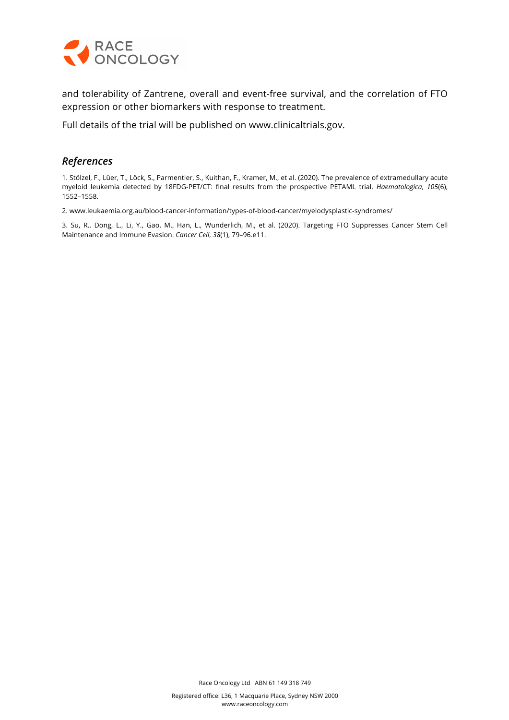

and tolerability of Zantrene, overall and event-free survival, and the correlation of FTO expression or other biomarkers with response to treatment.

Full details of the trial will be published on www.clinicaltrials.gov.

## *References*

1. Stölzel, F., Lüer, T., Löck, S., Parmentier, S., Kuithan, F., Kramer, M., et al. (2020). The prevalence of extramedullary acute myeloid leukemia detected by 18FDG-PET/CT: final results from the prospective PETAML trial. *Haematologica*, *105*(6), 1552–1558.

2. www.leukaemia.org.au/blood-cancer-information/types-of-blood-cancer/myelodysplastic-syndromes/

3. Su, R., Dong, L., Li, Y., Gao, M., Han, L., Wunderlich, M., et al. (2020). Targeting FTO Suppresses Cancer Stem Cell Maintenance and Immune Evasion. *Cancer Cell*, *38*(1), 79–96.e11.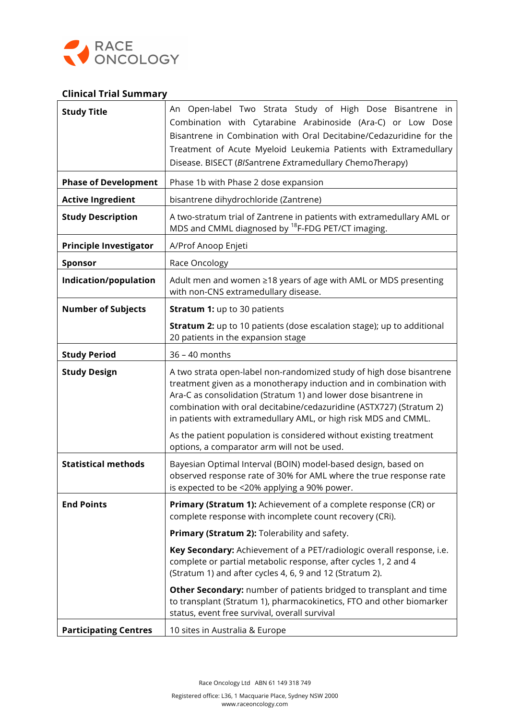

#### **Clinical Trial Summary**

| <b>Study Title</b>            | An Open-label Two Strata Study of High Dose Bisantrene in<br>Combination with Cytarabine Arabinoside (Ara-C) or Low Dose<br>Bisantrene in Combination with Oral Decitabine/Cedazuridine for the<br>Treatment of Acute Myeloid Leukemia Patients with Extramedullary<br>Disease. BISECT (BISantrene Extramedullary ChemoTherapy)                         |
|-------------------------------|---------------------------------------------------------------------------------------------------------------------------------------------------------------------------------------------------------------------------------------------------------------------------------------------------------------------------------------------------------|
| <b>Phase of Development</b>   | Phase 1b with Phase 2 dose expansion                                                                                                                                                                                                                                                                                                                    |
| <b>Active Ingredient</b>      | bisantrene dihydrochloride (Zantrene)                                                                                                                                                                                                                                                                                                                   |
| <b>Study Description</b>      | A two-stratum trial of Zantrene in patients with extramedullary AML or<br>MDS and CMML diagnosed by <sup>18</sup> F-FDG PET/CT imaging.                                                                                                                                                                                                                 |
| <b>Principle Investigator</b> | A/Prof Anoop Enjeti                                                                                                                                                                                                                                                                                                                                     |
| <b>Sponsor</b>                | Race Oncology                                                                                                                                                                                                                                                                                                                                           |
| Indication/population         | Adult men and women ≥18 years of age with AML or MDS presenting<br>with non-CNS extramedullary disease.                                                                                                                                                                                                                                                 |
| <b>Number of Subjects</b>     | <b>Stratum 1: up to 30 patients</b>                                                                                                                                                                                                                                                                                                                     |
|                               | <b>Stratum 2:</b> up to 10 patients (dose escalation stage); up to additional<br>20 patients in the expansion stage                                                                                                                                                                                                                                     |
| <b>Study Period</b>           | 36 - 40 months                                                                                                                                                                                                                                                                                                                                          |
| <b>Study Design</b>           | A two strata open-label non-randomized study of high dose bisantrene<br>treatment given as a monotherapy induction and in combination with<br>Ara-C as consolidation (Stratum 1) and lower dose bisantrene in<br>combination with oral decitabine/cedazuridine (ASTX727) (Stratum 2)<br>in patients with extramedullary AML, or high risk MDS and CMML. |
|                               | As the patient population is considered without existing treatment<br>options, a comparator arm will not be used.                                                                                                                                                                                                                                       |
| <b>Statistical methods</b>    | Bayesian Optimal Interval (BOIN) model-based design, based on<br>observed response rate of 30% for AML where the true response rate<br>is expected to be <20% applying a 90% power.                                                                                                                                                                     |
| <b>End Points</b>             | Primary (Stratum 1): Achievement of a complete response (CR) or<br>complete response with incomplete count recovery (CRi).                                                                                                                                                                                                                              |
|                               | Primary (Stratum 2): Tolerability and safety.                                                                                                                                                                                                                                                                                                           |
|                               | Key Secondary: Achievement of a PET/radiologic overall response, i.e.<br>complete or partial metabolic response, after cycles 1, 2 and 4<br>(Stratum 1) and after cycles 4, 6, 9 and 12 (Stratum 2).                                                                                                                                                    |
|                               | Other Secondary: number of patients bridged to transplant and time<br>to transplant (Stratum 1), pharmacokinetics, FTO and other biomarker<br>status, event free survival, overall survival                                                                                                                                                             |
| <b>Participating Centres</b>  | 10 sites in Australia & Europe                                                                                                                                                                                                                                                                                                                          |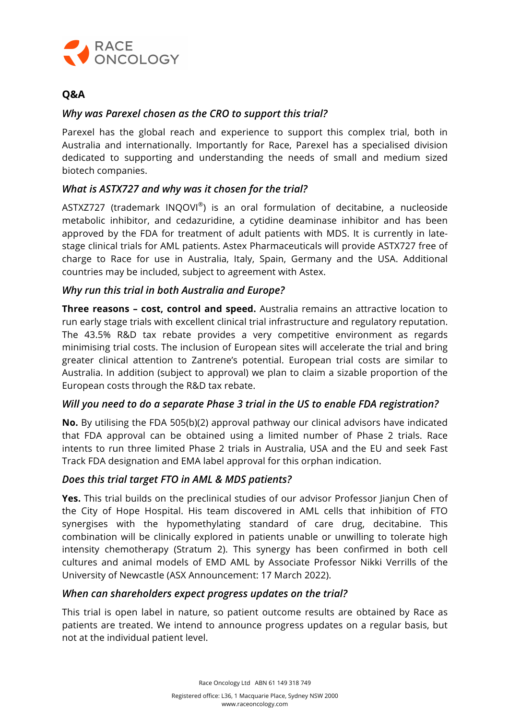

# **Q&A**

#### *Why was Parexel chosen as the CRO to support this trial?*

Parexel has the global reach and experience to support this complex trial, both in Australia and internationally. Importantly for Race, Parexel has a specialised division dedicated to supporting and understanding the needs of small and medium sized biotech companies.

## *What is ASTX727 and why was it chosen for the trial?*

ASTXZ727 (trademark INQOVI®) is an oral formulation of decitabine, a nucleoside metabolic inhibitor, and cedazuridine, a cytidine deaminase inhibitor and has been approved by the FDA for treatment of adult patients with MDS. It is currently in latestage clinical trials for AML patients. Astex Pharmaceuticals will provide ASTX727 free of charge to Race for use in Australia, Italy, Spain, Germany and the USA. Additional countries may be included, subject to agreement with Astex.

#### *Why run this trial in both Australia and Europe?*

**Three reasons – cost, control and speed.** Australia remains an attractive location to run early stage trials with excellent clinical trial infrastructure and regulatory reputation. The 43.5% R&D tax rebate provides a very competitive environment as regards minimising trial costs. The inclusion of European sites will accelerate the trial and bring greater clinical attention to Zantrene's potential. European trial costs are similar to Australia. In addition (subject to approval) we plan to claim a sizable proportion of the European costs through the R&D tax rebate.

#### *Will you need to do a separate Phase 3 trial in the US to enable FDA registration?*

**No.** By utilising the FDA 505(b)(2) approval pathway our clinical advisors have indicated that FDA approval can be obtained using a limited number of Phase 2 trials. Race intents to run three limited Phase 2 trials in Australia, USA and the EU and seek Fast Track FDA designation and EMA label approval for this orphan indication.

#### *Does this trial target FTO in AML & MDS patients?*

Yes. This trial builds on the preclinical studies of our advisor Professor Jianjun Chen of the City of Hope Hospital. His team discovered in AML cells that inhibition of FTO synergises with the hypomethylating standard of care drug, decitabine. This combination will be clinically explored in patients unable or unwilling to tolerate high intensity chemotherapy (Stratum 2). This synergy has been confirmed in both cell cultures and animal models of EMD AML by Associate Professor Nikki Verrills of the University of Newcastle (ASX Announcement: 17 March 2022).

#### *When can shareholders expect progress updates on the trial?*

This trial is open label in nature, so patient outcome results are obtained by Race as patients are treated. We intend to announce progress updates on a regular basis, but not at the individual patient level.

Race Oncology Ltd ABN 61 149 318 749